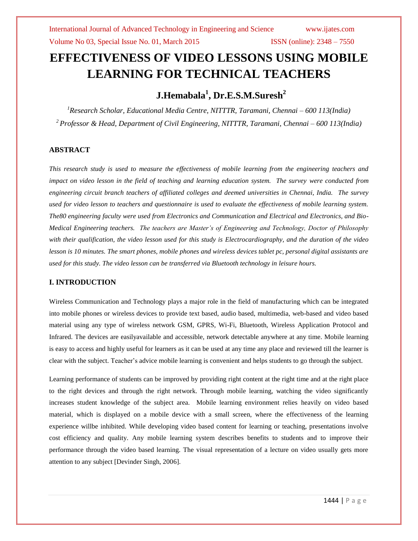# **EFFECTIVENESS OF VIDEO LESSONS USING MOBILE LEARNING FOR TECHNICAL TEACHERS**

## **J.Hemabala<sup>1</sup> , Dr.E.S.M.Suresh<sup>2</sup>**

*<sup>1</sup>Research Scholar, Educational Media Centre, NITTTR, Taramani, Chennai – 600 113(India) <sup>2</sup>Professor & Head, Department of Civil Engineering, NITTTR, Taramani, Chennai – 600 113(India)*

### **ABSTRACT**

*This research study is used to measure the effectiveness of mobile learning from the engineering teachers and impact on video lesson in the field of teaching and learning education system. The survey were conducted from engineering circuit branch teachers of affiliated colleges and deemed universities in Chennai, India. The survey used for video lesson to teachers and questionnaire is used to evaluate the effectiveness of mobile learning system. The80 engineering faculty were used from Electronics and Communication and Electrical and Electronics, and Bio-Medical Engineering teachers. The teachers are Master's of Engineering and Technology, Doctor of Philosophy with their qualification, the video lesson used for this study is Electrocardiography, and the duration of the video lesson is 10 minutes. The smart phones, mobile phones and wireless devices tablet pc, personal digital assistants are used for this study. The video lesson can be transferred via Bluetooth technology in leisure hours.*

### **I. INTRODUCTION**

Wireless Communication and Technology plays a major role in the field of manufacturing which can be integrated into mobile phones or wireless devices to provide text based, audio based, multimedia, web-based and video based material using any type of wireless network GSM, GPRS, Wi-Fi, Bluetooth, Wireless Application Protocol and Infrared. The devices are easilyavailable and accessible, network detectable anywhere at any time. Mobile learning is easy to access and highly useful for learners as it can be used at any time any place and reviewed till the learner is clear with the subject. Teacher"s advice mobile learning is convenient and helps students to go through the subject.

Learning performance of students can be improved by providing right content at the right time and at the right place to the right devices and through the right network. Through mobile learning, watching the video significantly increases student knowledge of the subject area. Mobile learning environment relies heavily on video based material, which is displayed on a mobile device with a small screen, where the effectiveness of the learning experience willbe inhibited. While developing video based content for learning or teaching, presentations involve cost efficiency and quality. Any mobile learning system describes benefits to students and to improve their performance through the video based learning. The visual representation of a lecture on video usually gets more attention to any subject [Devinder Singh, 2006].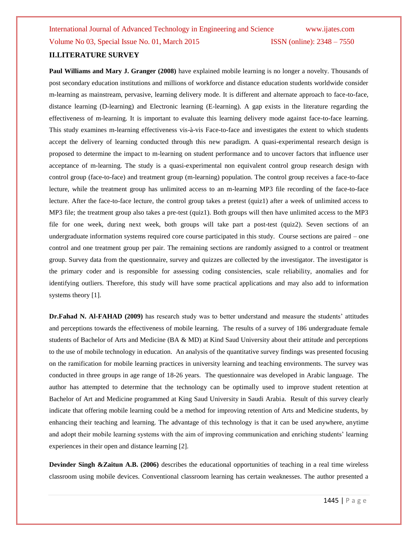**Paul Williams and Mary J. Granger (2008)** have explained mobile learning is no longer a novelty. Thousands of post secondary education institutions and millions of workforce and distance education students worldwide consider m-learning as mainstream, pervasive, learning delivery mode. It is different and alternate approach to face-to-face, distance learning (D-learning) and Electronic learning (E-learning). A gap exists in the literature regarding the effectiveness of m-learning. It is important to evaluate this learning delivery mode against face-to-face learning. This study examines m-learning effectiveness vis-à-vis Face-to-face and investigates the extent to which students accept the delivery of learning conducted through this new paradigm. A quasi-experimental research design is proposed to determine the impact to m-learning on student performance and to uncover factors that influence user acceptance of m-learning. The study is a quasi-experimental non equivalent control group research design with control group (face-to-face) and treatment group (m-learning) population. The control group receives a face-to-face lecture, while the treatment group has unlimited access to an m-learning MP3 file recording of the face-to-face lecture. After the face-to-face lecture, the control group takes a pretest (quiz1) after a week of unlimited access to MP3 file; the treatment group also takes a pre-test (quiz1). Both groups will then have unlimited access to the MP3 file for one week, during next week, both groups will take part a post-test (quiz2). Seven sections of an undergraduate information systems required core course participated in this study. Course sections are paired – one control and one treatment group per pair. The remaining sections are randomly assigned to a control or treatment group. Survey data from the questionnaire, survey and quizzes are collected by the investigator. The investigator is the primary coder and is responsible for assessing coding consistencies, scale reliability, anomalies and for identifying outliers. Therefore, this study will have some practical applications and may also add to information systems theory [1].

**Dr.Fahad N. Al-FAHAD (2009)** has research study was to better understand and measure the students' attitudes and perceptions towards the effectiveness of mobile learning. The results of a survey of 186 undergraduate female students of Bachelor of Arts and Medicine (BA & MD) at Kind Saud University about their attitude and perceptions to the use of mobile technology in education. An analysis of the quantitative survey findings was presented focusing on the ramification for mobile learning practices in university learning and teaching environments. The survey was conducted in three groups in age range of 18-26 years. The questionnaire was developed in Arabic language. The author has attempted to determine that the technology can be optimally used to improve student retention at Bachelor of Art and Medicine programmed at King Saud University in Saudi Arabia. Result of this survey clearly indicate that offering mobile learning could be a method for improving retention of Arts and Medicine students, by enhancing their teaching and learning. The advantage of this technology is that it can be used anywhere, anytime and adopt their mobile learning systems with the aim of improving communication and enriching students" learning experiences in their open and distance learning [2].

**Devinder Singh &Zaitun A.B. (2006)** describes the educational opportunities of teaching in a real time wireless classroom using mobile devices. Conventional classroom learning has certain weaknesses. The author presented a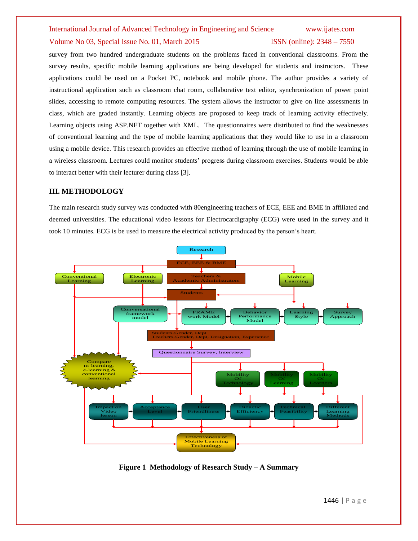### Volume No 03, Special Issue No. 01, March 2015 **ISSN** (online): 2348 – 7550

survey from two hundred undergraduate students on the problems faced in conventional classrooms. From the survey results, specific mobile learning applications are being developed for students and instructors. These applications could be used on a Pocket PC, notebook and mobile phone. The author provides a variety of instructional application such as classroom chat room, collaborative text editor, synchronization of power point slides, accessing to remote computing resources. The system allows the instructor to give on line assessments in class, which are graded instantly. Learning objects are proposed to keep track of learning activity effectively. Learning objects using ASP.NET together with XML. The questionnaires were distributed to find the weaknesses of conventional learning and the type of mobile learning applications that they would like to use in a classroom using a mobile device. This research provides an effective method of learning through the use of mobile learning in a wireless classroom. Lectures could monitor students" progress during classroom exercises. Students would be able to interact better with their lecturer during class [3].

### **III. METHODOLOGY**

The main research study survey was conducted with 80engineering teachers of ECE, EEE and BME in affiliated and deemed universities. The educational video lessons for Electrocardigraphy (ECG) were used in the survey and it took 10 minutes. ECG is be used to measure the electrical activity produced by the person"s heart.



**Figure 1 Methodology of Research Study – A Summary**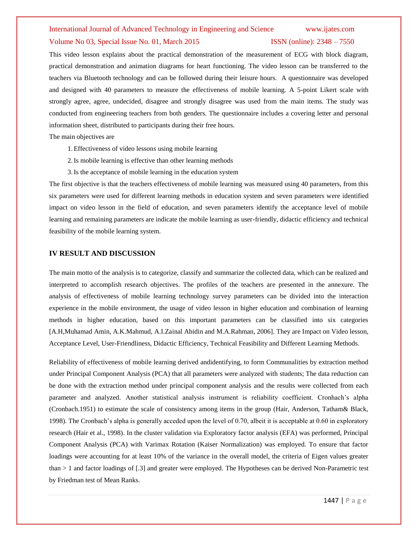### Volume No 03, Special Issue No. 01, March 2015 **ISSN** (online): 2348 – 7550

This video lesson explains about the practical demonstration of the measurement of ECG with block diagram, practical demonstration and animation diagrams for heart functioning. The video lesson can be transferred to the teachers via Bluetooth technology and can be followed during their leisure hours. A questionnaire was developed and designed with 40 parameters to measure the effectiveness of mobile learning. A 5-point Likert scale with strongly agree, agree, undecided, disagree and strongly disagree was used from the main items. The study was conducted from engineering teachers from both genders. The questionnaire includes a covering letter and personal information sheet, distributed to participants during their free hours.

The main objectives are

- 1.Effectiveness of video lessons using mobile learning
- 2.Is mobile learning is effective than other learning methods
- 3.Is the acceptance of mobile learning in the education system

The first objective is that the teachers effectiveness of mobile learning was measured using 40 parameters, from this six parameters were used for different learning methods in education system and seven parameters were identified impact on video lesson in the field of education, and seven parameters identify the acceptance level of mobile learning and remaining parameters are indicate the mobile learning as user-friendly, didactic efficiency and technical feasibility of the mobile learning system.

### **IV RESULT AND DISCUSSION**

The main motto of the analysis is to categorize, classify and summarize the collected data, which can be realized and interpreted to accomplish research objectives. The profiles of the teachers are presented in the annexure. The analysis of effectiveness of mobile learning technology survey parameters can be divided into the interaction experience in the mobile environment, the usage of video lesson in higher education and combination of learning methods in higher education, based on this important parameters can be classified into six categories [A.H,Muhamad Amin, A.K.Mahmud, A.I.Zainal Abidin and M.A.Rahman, 2006]. They are Impact on Video lesson, Acceptance Level, User-Friendliness, Didactic Efficiency, Technical Feasibility and Different Learning Methods.

Reliability of effectiveness of mobile learning derived andidentifying, to form Communalities by extraction method under Principal Component Analysis (PCA) that all parameters were analyzed with students; The data reduction can be done with the extraction method under principal component analysis and the results were collected from each parameter and analyzed. Another statistical analysis instrument is reliability coefficient. Cronhach"s alpha (Cronbach.1951) to estimate the scale of consistency among items in the group (Hair, Anderson, Tatham& Black, 1998). The Cronbach"s alpha is generally acceded upon the level of 0.70, albeit it is acceptable at 0.60 in exploratory research (Hair et al., 1998). In the cluster validation via Exploratory factor analysis (EFA) was performed, Principal Component Analysis (PCA) with Varimax Rotation (Kaiser Normalization) was employed. To ensure that factor loadings were accounting for at least 10% of the variance in the overall model, the criteria of Eigen values greater than > 1 and factor loadings of [.3] and greater were employed. The Hypotheses can be derived Non-Parametric test by Friedman test of Mean Ranks.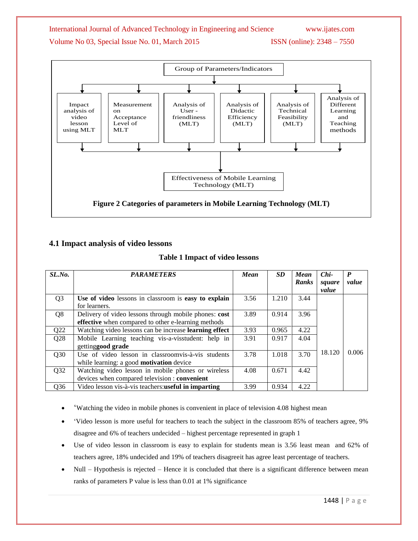

### **4.1 Impact analysis of video lessons**

### **Table 1 Impact of video lessons**

| SL.No.          | <b>PARAMETERS</b>                                      | <b>Mean</b> | <b>SD</b> | <b>Mean</b> | $Chi-$ | P     |
|-----------------|--------------------------------------------------------|-------------|-----------|-------------|--------|-------|
|                 |                                                        |             |           | Ranks       | square | value |
|                 |                                                        |             |           |             | value  |       |
| Q <sub>3</sub>  | Use of video lessons in classroom is easy to explain   | 3.56        | 1.210     | 3.44        |        |       |
|                 | for learners.                                          |             |           |             |        |       |
| Q <sub>8</sub>  | Delivery of video lessons through mobile phones: cost  | 3.89        | 0.914     | 3.96        |        |       |
|                 | effective when compared to other e-learning methods    |             |           |             |        |       |
| Q22             | Watching video lessons can be increase learning effect | 3.93        | 0.965     | 4.22        |        |       |
| Q28             | Mobile Learning teaching vis-a-visstudent: help in     | 3.91        | 0.917     | 4.04        |        |       |
|                 | gettinggood grade                                      |             |           |             |        |       |
| Q30             | Use of video lesson in classroomvis-à-vis students     | 3.78        | 1.018     | 3.70        | 18.120 | 0.006 |
|                 | while learning: a good <b>motivation</b> device        |             |           |             |        |       |
| Q32             | Watching video lesson in mobile phones or wireless     | 4.08        | 0.671     | 4.42        |        |       |
|                 | devices when compared television : convenient          |             |           |             |        |       |
| Q <sub>36</sub> | Video lesson vis-à-vis teachers: useful in imparting   | 3.99        | 0.934     | 4.22        |        |       |

- "Watching the video in mobile phones is convenient in place of television 4.08 highest mean
- "Video lesson is more useful for teachers to teach the subject in the classroom 85% of teachers agree, 9% disagree and 6% of teachers undecided – highest percentage represented in graph 1
- Use of video lesson in classroom is easy to explain for students mean is 3.56 least mean and 62% of teachers agree, 18% undecided and 19% of teachers disagreeit has agree least percentage of teachers.
- Null Hypothesis is rejected Hence it is concluded that there is a significant difference between mean ranks of parameters P value is less than 0.01 at 1% significance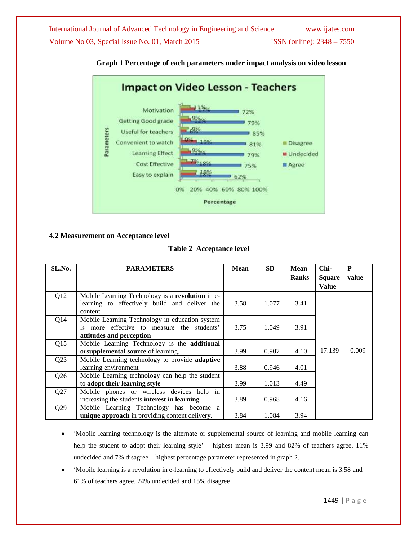

### **Graph 1 Percentage of each parameters under impact analysis on video lesson**

### **4.2 Measurement on Acceptance level**

**Table 2 Acceptance level** 

| SL.No.          | <b>PARAMETERS</b>                                | <b>Mean</b> | <b>SD</b> | <b>Mean</b>  | Chi-          | P     |
|-----------------|--------------------------------------------------|-------------|-----------|--------------|---------------|-------|
|                 |                                                  |             |           | <b>Ranks</b> | <b>Square</b> | value |
|                 |                                                  |             |           |              | <b>Value</b>  |       |
| Q12             | Mobile Learning Technology is a revolution in e- |             |           |              |               |       |
|                 | learning to effectively build and deliver the    | 3.58        | 1.077     | 3.41         |               |       |
|                 | content                                          |             |           |              |               |       |
| O <sub>14</sub> | Mobile Learning Technology in education system   |             |           |              |               |       |
|                 | more effective to measure the students'<br>is.   | 3.75        | 1.049     | 3.91         |               |       |
|                 | attitudes and perception                         |             |           |              |               |       |
| Q15             | Mobile Learning Technology is the additional     |             |           |              |               |       |
|                 | orsupplemental source of learning.               | 3.99        | 0.907     | 4.10         | 17.139        | 0.009 |
| Q23             | Mobile Learning technology to provide adaptive   |             |           |              |               |       |
|                 | learning environment                             | 3.88        | 0.946     | 4.01         |               |       |
| Q26             | Mobile Learning technology can help the student  |             |           |              |               |       |
|                 | to adopt their learning style                    | 3.99        | 1.013     | 4.49         |               |       |
| Q27             | Mobile phones or wireless devices help in        |             |           |              |               |       |
|                 | increasing the students interest in learning     | 3.89        | 0.968     | 4.16         |               |       |
| Q29             | Mobile Learning Technology has become a          |             |           |              |               |       |
|                 | unique approach in providing content delivery.   | 3.84        | 1.084     | 3.94         |               |       |

 "Mobile learning technology is the alternate or supplemental source of learning and mobile learning can help the student to adopt their learning style' – highest mean is 3.99 and 82% of teachers agree, 11% undecided and 7% disagree – highest percentage parameter represented in graph 2.

 "Mobile learning is a revolution in e-learning to effectively build and deliver the content mean is 3.58 and 61% of teachers agree, 24% undecided and 15% disagree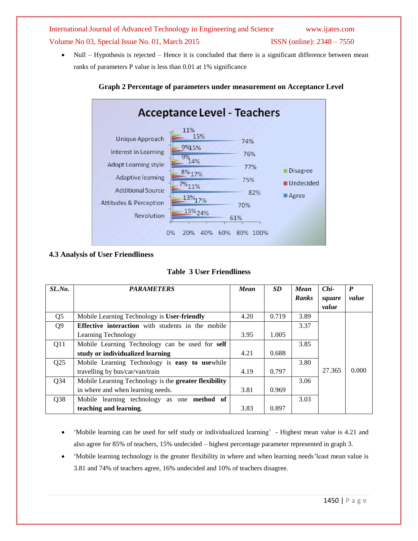• Null – Hypothesis is rejected – Hence it is concluded that there is a significant difference between mean ranks of parameters P value is less than 0.01 at 1% significance



### **Graph 2 Percentage of parameters under measurement on Acceptance Level**

### **4.3 Analysis of User Friendliness**

|  |  |  | <b>Table 3 User Friendliness</b> |  |
|--|--|--|----------------------------------|--|
|--|--|--|----------------------------------|--|

| SLNo.           | <b>PARAMETERS</b>                                     | <b>Mean</b> | <b>SD</b> | <b>Mean</b> | $Chi-$ | P     |
|-----------------|-------------------------------------------------------|-------------|-----------|-------------|--------|-------|
|                 |                                                       |             |           | Ranks       | square | value |
|                 |                                                       |             |           |             | value  |       |
| Q <sub>5</sub>  | Mobile Learning Technology is User-friendly           | 4.20        | 0.719     | 3.89        |        |       |
| Q <sub>9</sub>  | Effective interaction with students in the mobile     |             |           | 3.37        |        |       |
|                 | Learning Technology                                   | 3.95        | 1.005     |             |        |       |
| Q11             | Mobile Learning Technology can be used for self       |             |           | 3.85        |        |       |
|                 | study or individualized learning                      | 4.21        | 0.688     |             |        |       |
| Q <sub>25</sub> | Mobile Learning Technology is easy to usewhile        |             |           | 3.80        |        |       |
|                 | travelling by bus/car/van/train                       | 4.19        | 0.797     |             | 27.365 | 0.000 |
| Q <sub>34</sub> | Mobile Learning Technology is the greater flexibility |             |           | 3.06        |        |       |
|                 | in where and when learning needs.                     | 3.81        | 0.969     |             |        |       |
| Q <sub>38</sub> | Mobile learning technology as one <b>method</b> of    |             |           | 3.03        |        |       |
|                 | teaching and learning.                                | 3.83        | 0.897     |             |        |       |

- "Mobile learning can be used for self study or individualized learning" Highest mean value is 4.21 and also agree for 85% of teachers, 15% undecided – highest percentage parameter represented in graph 3.
- "Mobile learning technology is the greater flexibility in where and when learning needs"least mean value is 3.81 and 74% of teachers agree, 16% undecided and 10% of teachers disagree.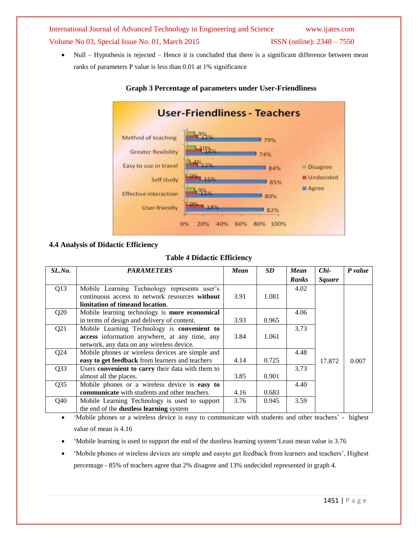• Null – Hypothesis is rejected – Hence it is concluded that there is a significant difference between mean ranks of parameters P value is less than 0.01 at 1% significance



### **Graph 3 Percentage of parameters under User-Friendliness**

### **4.4 Analysis of Didactic Efficiency**

### **Table 4 Didactic Efficiency**

| SL.No. | <b>PARAMETERS</b>                                    | <b>Mean</b> | <b>SD</b> | <b>Mean</b> | $Chi-$        | P value |
|--------|------------------------------------------------------|-------------|-----------|-------------|---------------|---------|
|        |                                                      |             |           | Ranks       | <b>Square</b> |         |
| Q13    | Mobile Learning Technology represents user's         |             |           | 4.02        |               |         |
|        | continuous access to network resources without       | 3.91        | 1.081     |             |               |         |
|        | limitation of timeand location.                      |             |           |             |               |         |
| Q20    | Mobile learning technology is more economical        |             |           | 4.06        |               |         |
|        | in terms of design and delivery of content.          | 3.93        | 0.965     |             |               |         |
| Q21    | Mobile Learning Technology is convenient to          |             |           | 3.73        |               |         |
|        | access information anywhere, at any time, any        | 3.84        | 1.061     |             |               |         |
|        | network, any data on any wireless device.            |             |           |             |               |         |
| Q24    | Mobile phones or wireless devices are simple and     |             |           | 4.48        |               |         |
|        | easy to get feedback from learners and teachers      | 4.14        | 0.725     |             | 17.872        | 0.007   |
| Q33    | Users convenient to carry their data with them to    |             |           | 3.73        |               |         |
|        | almost all the places.                               | 3.85        | 0.901     |             |               |         |
| Q35    | Mobile phones or a wireless device is easy to        |             |           | 4.40        |               |         |
|        | <b>communicate</b> with students and other teachers. | 4.16        | 0.683     |             |               |         |
| Q40    | Mobile Learning Technology is used to support        | 3.76        | 0.945     | 3.59        |               |         |
|        | the end of the <b>dustless learning</b> system       |             |           |             |               |         |

 "Mobile phones or a wireless device is easy to communicate with students and other teachers" - highest value of mean is 4.16

- "Mobile learning is used to support the end of the dustless learning system"Least mean value is 3.76
- "Mobile phones or wireless devices are simple and easyto get feedback from learners and teachers", Highest percentage - 85% of teachers agree that 2% disagree and 13% undecided represented in graph 4.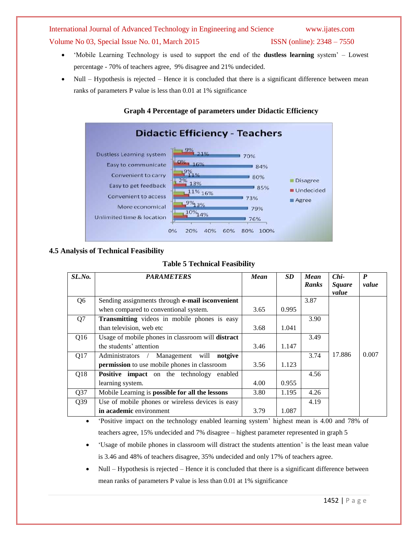- "Mobile Learning Technology is used to support the end of the **dustless learning** system" Lowest percentage - 70% of teachers agree, 9% disagree and 21% undecided.
- Null Hypothesis is rejected Hence it is concluded that there is a significant difference between mean ranks of parameters P value is less than 0.01 at 1% significance

### **Graph 4 Percentage of parameters under Didactic Efficiency**



### **4.5 Analysis of Technical Feasibility**

### **Table 5 Technical Feasibility**

| SL.No.          | <b>PARAMETERS</b>                                   | Mean | <b>SD</b> | <b>Mean</b> | $Chi-$        | $\boldsymbol{P}$ |
|-----------------|-----------------------------------------------------|------|-----------|-------------|---------------|------------------|
|                 |                                                     |      |           | Ranks       | <b>Square</b> | value            |
|                 |                                                     |      |           |             | value         |                  |
| Q6              | Sending assignments through e-mail is convenient    |      |           | 3.87        |               |                  |
|                 | when compared to conventional system.               | 3.65 | 0.995     |             |               |                  |
| Q7              | <b>Transmitting</b> videos in mobile phones is easy |      |           | 3.90        |               |                  |
|                 | than television, web etc                            | 3.68 | 1.041     |             |               |                  |
| Q16             | Usage of mobile phones in classroom will distract   |      |           | 3.49        |               |                  |
|                 | the students' attention                             | 3.46 | 1.147     |             |               |                  |
| Q17             | Management will<br>notgive<br>Administrators /      |      |           | 3.74        | 17.886        | 0.007            |
|                 | permission to use mobile phones in classroom        | 3.56 | 1.123     |             |               |                  |
| Q18             | Positive impact on the technology enabled           |      |           | 4.56        |               |                  |
|                 | learning system.                                    | 4.00 | 0.955     |             |               |                  |
| Q37             | Mobile Learning is possible for all the lessons     | 3.80 | 1.195     | 4.26        |               |                  |
| Q <sub>39</sub> | Use of mobile phones or wireless devices is easy    |      |           | 4.19        |               |                  |
|                 | in academic environment                             | 3.79 | 1.087     |             |               |                  |

• 'Positive impact on the technology enabled learning system' highest mean is 4.00 and 78% of teachers agree, 15% undecided and 7% disagree – highest parameter represented in graph 5

 "Usage of mobile phones in classroom will distract the students attention" is the least mean value is 3.46 and 48% of teachers disagree, 35% undecided and only 17% of teachers agree.

 Null – Hypothesis is rejected – Hence it is concluded that there is a significant difference between mean ranks of parameters P value is less than 0.01 at 1% significance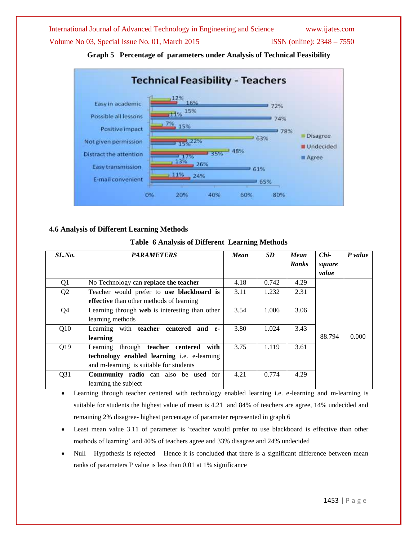Volume No 03, Special Issue No. 01, March 2015 ISSN (online): 2348 – 7550



**Graph 5 Percentage of parameters under Analysis of Technical Feasibility**

### **4.6 Analysis of Different Learning Methods**

### **Table 6 Analysis of Different Learning Methods**

| SL.No.          | <b>PARAMETERS</b>                                  | <b>Mean</b> | <b>SD</b> | <b>Mean</b>  | $Chi-$ | P value |
|-----------------|----------------------------------------------------|-------------|-----------|--------------|--------|---------|
|                 |                                                    |             |           | <b>Ranks</b> | square |         |
|                 |                                                    |             |           |              | value  |         |
| Q1              | No Technology can replace the teacher              | 4.18        | 0.742     | 4.29         |        |         |
| Q <sub>2</sub>  | Teacher would prefer to use blackboard is          | 3.11        | 1.232     | 2.31         |        |         |
|                 | effective than other methods of learning           |             |           |              |        |         |
| Q4              | Learning through web is interesting than other     | 3.54        | 1.006     | 3.06         |        |         |
|                 | learning methods                                   |             |           |              |        |         |
| Q10             | Learning with teacher centered<br>and e-           | 3.80        | 1.024     | 3.43         |        |         |
|                 | learning                                           |             |           |              | 88.794 | 0.000   |
| Q19             | Learning through teacher centered<br>with          | 3.75        | 1.119     | 3.61         |        |         |
|                 | technology enabled learning <i>i.e.</i> e-learning |             |           |              |        |         |
|                 | and m-learning is suitable for students            |             |           |              |        |         |
| Q <sub>31</sub> | <b>Community radio</b> can also be used for        | 4.21        | 0.774     | 4.29         |        |         |
|                 | learning the subject                               |             |           |              |        |         |

 Learning through teacher centered with technology enabled learning i.e. e-learning and m-learning is suitable for students the highest value of mean is 4.21 and 84% of teachers are agree, 14% undecided and remaining 2% disagree- highest percentage of parameter represented in graph 6

- Least mean value 3.11 of parameter is "teacher would prefer to use blackboard is effective than other methods of learning' and 40% of teachers agree and 33% disagree and 24% undecided
- Null Hypothesis is rejected Hence it is concluded that there is a significant difference between mean ranks of parameters P value is less than 0.01 at 1% significance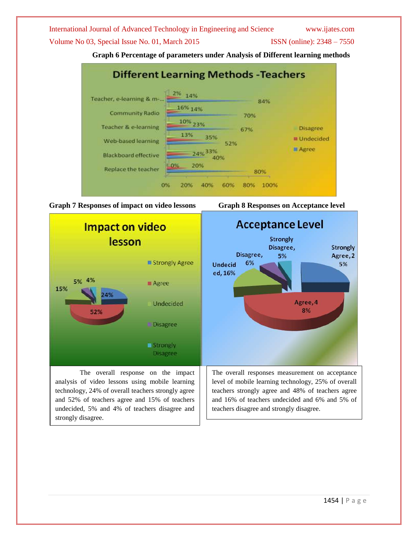Volume No 03, Special Issue No. 01, March 2015 ISSN (online): 2348 – 7550

**Graph 6 Percentage of parameters under Analysis of Different learning methods**





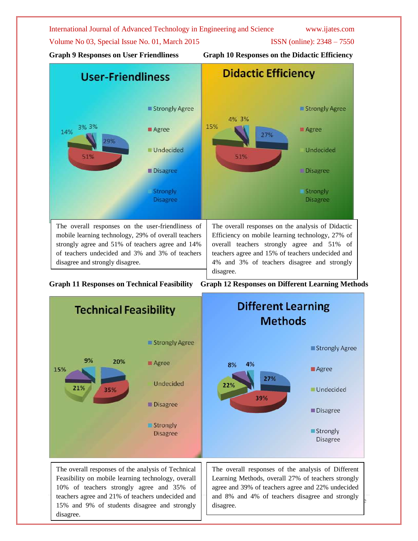Volume No 03, Special Issue No. 01, March 2015 **ISSN** (online): 2348 – 7550

**Graph 9 Responses on User Friendliness Graph 10 Responses on the Didactic Efficiency**



**Graph 11 Responses on Technical Feasibility Graph 12 Responses on Different Learning Methods**

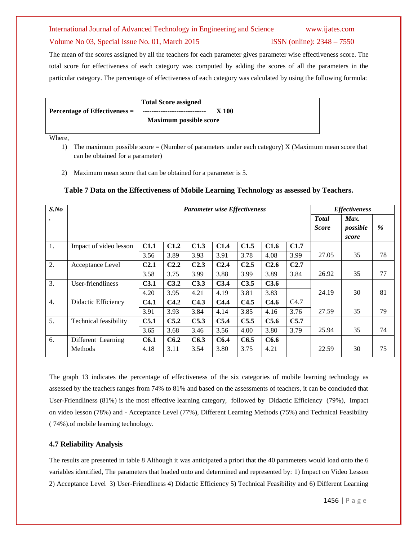### Volume No 03, Special Issue No. 01, March 2015 **ISSN** (online): 2348 – 7550

The mean of the scores assigned by all the teachers for each parameter gives parameter wise effectiveness score. The total score for effectiveness of each category was computed by adding the scores of all the parameters in the particular category. The percentage of effectiveness of each category was calculated by using the following formula:

|                               | <b>Total Score assigned</b>    |       |
|-------------------------------|--------------------------------|-------|
| Percentage of Effectiveness = | ------------------------------ | X 100 |
|                               | <b>Maximum possible score</b>  |       |

Where,

- 1) The maximum possible score = (Number of parameters under each category) X (Maximum mean score that can be obtained for a parameter)
- 2) Maximum mean score that can be obtained for a parameter is 5.

| $S$ .No          |                        |                  | <b>Parameter wise Effectiveness</b> |                  |                  |                  |                  | <b>Effectiveness</b> |                               |                           |    |
|------------------|------------------------|------------------|-------------------------------------|------------------|------------------|------------------|------------------|----------------------|-------------------------------|---------------------------|----|
|                  |                        |                  |                                     |                  |                  |                  |                  |                      | <b>T</b> otal<br><b>Score</b> | Max.<br>possible<br>score | %  |
| 1.               | Impact of video lesson | C1.1             | C1.2                                | C1.3             | C1.4             | C1.5             | C1.6             | C1.7                 |                               |                           |    |
|                  |                        | 3.56             | 3.89                                | 3.93             | 3.91             | 3.78             | 4.08             | 3.99                 | 27.05                         | 35                        | 78 |
| 2.               | Acceptance Level       | C <sub>2.1</sub> | C <sub>2.2</sub>                    | C <sub>2.3</sub> | C <sub>2.4</sub> | C <sub>2.5</sub> | C <sub>2.6</sub> | C2.7                 |                               |                           |    |
|                  |                        | 3.58             | 3.75                                | 3.99             | 3.88             | 3.99             | 3.89             | 3.84                 | 26.92                         | 35                        | 77 |
| 3.               | User-friendliness      | C <sub>3.1</sub> | C3.2                                | C3.3             | C3.4             | C3.5             | C3.6             |                      |                               |                           |    |
|                  |                        | 4.20             | 3.95                                | 4.21             | 4.19             | 3.81             | 3.83             |                      | 24.19                         | 30                        | 81 |
| $\overline{4}$ . | Didactic Efficiency    | C <sub>4.1</sub> | C4.2                                | C4.3             | C4.4             | C4.5             | C4.6             | C4.7                 |                               |                           |    |
|                  |                        | 3.91             | 3.93                                | 3.84             | 4.14             | 3.85             | 4.16             | 3.76                 | 27.59                         | 35                        | 79 |
| 5.               | Technical feasibility  | C5.1             | C5.2                                | C5.3             | C5.4             | C5.5             | C5.6             | C5.7                 |                               |                           |    |
|                  |                        | 3.65             | 3.68                                | 3.46             | 3.56             | 4.00             | 3.80             | 3.79                 | 25.94                         | 35                        | 74 |
| 6.               | Different Learning     | C6.1             | C6.2                                | C6.3             | C6.4             | C6.5             | C6.6             |                      |                               |                           |    |
|                  | Methods                | 4.18             | 3.11                                | 3.54             | 3.80             | 3.75             | 4.21             |                      | 22.59                         | 30                        | 75 |

### **Table 7 Data on the Effectiveness of Mobile Learning Technology as assessed by Teachers.**

The graph 13 indicates the percentage of effectiveness of the six categories of mobile learning technology as assessed by the teachers ranges from 74% to 81% and based on the assessments of teachers, it can be concluded that User-Friendliness (81%) is the most effective learning category, followed by Didactic Efficiency (79%), Impact on video lesson (78%) and - Acceptance Level (77%), Different Learning Methods (75%) and Technical Feasibility ( 74%).of mobile learning technology.

### **4.7 Reliability Analysis**

The results are presented in table 8 Although it was anticipated a priori that the 40 parameters would load onto the 6 variables identified, The parameters that loaded onto and determined and represented by: 1) Impact on Video Lesson 2) Acceptance Level 3) User-Friendliness 4) Didactic Efficiency 5) Technical Feasibility and 6) Different Learning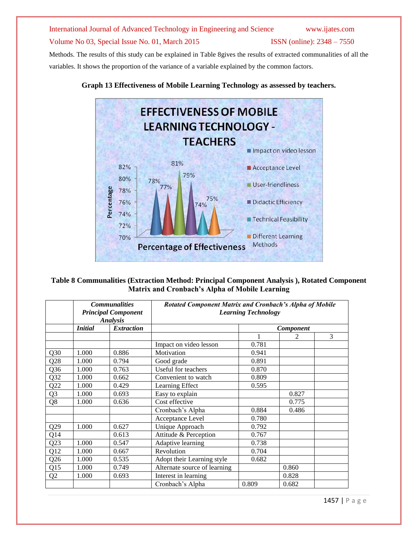Methods. The results of this study can be explained in Table 8gives the results of extracted communalities of all the variables. It shows the proportion of the variance of a variable explained by the common factors.



### **Graph 13 Effectiveness of Mobile Learning Technology as assessed by teachers.**

| Table 8 Communalities (Extraction Method: Principal Component Analysis), Rotated Component |
|--------------------------------------------------------------------------------------------|
| Matrix and Cronbach's Alpha of Mobile Learning                                             |

|                 |                | <b>Communalities</b><br><b>Principal Component</b><br><b>Analysis</b> | Rotated Component Matrix and Cronbach's Alpha of Mobile | <b>Learning Technology</b> |                |   |
|-----------------|----------------|-----------------------------------------------------------------------|---------------------------------------------------------|----------------------------|----------------|---|
|                 | <b>Initial</b> | <b>Extraction</b>                                                     |                                                         |                            | Component      |   |
|                 |                |                                                                       |                                                         |                            | $\mathfrak{D}$ | 3 |
|                 |                |                                                                       | Impact on video lesson                                  | 0.781                      |                |   |
| Q30             | 1.000          | 0.886                                                                 | Motivation                                              | 0.941                      |                |   |
| Q28             | 1.000          | 0.794                                                                 | Good grade                                              | 0.891                      |                |   |
| Q <sub>36</sub> | 1.000          | 0.763                                                                 | Useful for teachers                                     | 0.870                      |                |   |
| Q32             | 1.000          | 0.662                                                                 | Convenient to watch                                     | 0.809                      |                |   |
| Q22             | 1.000          | 0.429                                                                 | Learning Effect                                         | 0.595                      |                |   |
| Q <sub>3</sub>  | 1.000          | 0.693                                                                 | Easy to explain                                         |                            | 0.827          |   |
| Q8              | 1.000          | 0.636                                                                 | Cost effective                                          |                            | 0.775          |   |
|                 |                |                                                                       | Cronbach's Alpha                                        | 0.884                      | 0.486          |   |
|                 |                |                                                                       | Acceptance Level                                        | 0.780                      |                |   |
| Q29             | 1.000          | 0.627                                                                 | Unique Approach                                         | 0.792                      |                |   |
| Q14             |                | 0.613                                                                 | Attitude & Perception                                   | 0.767                      |                |   |
| Q23             | 1.000          | 0.547                                                                 | Adaptive learning                                       | 0.738                      |                |   |
| Q12             | 1.000          | 0.667                                                                 | Revolution                                              | 0.704                      |                |   |
| Q26             | 1.000          | 0.535                                                                 | Adopt their Learning style                              | 0.682                      |                |   |
| Q15             | 1.000          | 0.749                                                                 | Alternate source of learning                            |                            | 0.860          |   |
| Q2              | 1.000          | 0.693                                                                 | Interest in learning                                    |                            | 0.828          |   |
|                 |                |                                                                       | Cronbach's Alpha                                        | 0.809                      | 0.682          |   |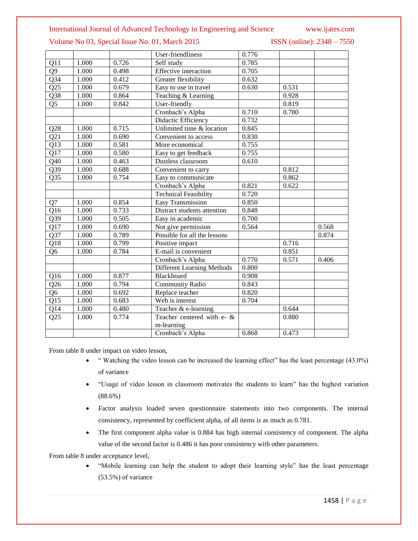### Volume No 03, Special Issue No. 01, March 2015 **ISSN** (online): 2348 – 7550

|                  |       |       | User-friendliness                 | 0.776 |       |       |
|------------------|-------|-------|-----------------------------------|-------|-------|-------|
| Q11              | 1.000 | 0.726 | Self study                        | 0.785 |       |       |
| Q <sub>9</sub>   | 1.000 | 0.498 | <b>Effective</b> interaction      | 0.705 |       |       |
| $\overline{Q34}$ | 1.000 | 0.412 | Greater flexibility               | 0.632 |       |       |
| Q25              | 1.000 | 0.679 | Easy to use in travel             | 0.630 | 0.531 |       |
| $\overline{Q38}$ | 1.000 | 0.864 | Teaching & Learning               |       | 0.928 |       |
| $\overline{Q5}$  | 1.000 | 0.842 | User-friendly                     |       | 0.819 |       |
|                  |       |       | Cronbach's Alpha                  | 0.710 | 0.780 |       |
|                  |       |       | Didactic Efficiency               | 0.732 |       |       |
| $\overline{Q28}$ | 1.000 | 0.715 | Unlimited time & location         | 0.845 |       |       |
| $\overline{Q21}$ | 1.000 | 0.690 | Convenient to access              | 0.830 |       |       |
| $\overline{Q13}$ | 1.000 | 0.581 | More economical                   | 0.755 |       |       |
| Q17              | 1.000 | 0.580 | Easy to get feedback              | 0.755 |       |       |
| Q40              | 1.000 | 0.463 | Dustless classroom                | 0.610 |       |       |
| $\overline{Q39}$ | 1.000 | 0.688 | Convenient to carry               |       | 0.812 |       |
| Q <sub>35</sub>  | 1.000 | 0.754 | Easy to communicate               |       | 0.862 |       |
|                  |       |       | Cronbach's Alpha                  | 0.821 | 0.622 |       |
|                  |       |       | <b>Technical Feasibility</b>      | 0.720 |       |       |
| Q7               | 1.000 | 0.854 | Easy Transmission                 | 0.850 |       |       |
| Q16              | 1.000 | 0.733 | Distract students attention       | 0.848 |       |       |
| Q39              | 1.000 | 0.505 | Easy in academic                  | 0.700 |       |       |
| Q17              | 1.000 | 0.690 | Not give permission               | 0.564 |       | 0.568 |
| Q37              | 1.000 | 0.789 | Possible for all the lessons      |       |       | 0.874 |
| Q18              | 1.000 | 0.799 | Positive impact                   |       | 0.716 |       |
| Q <sub>6</sub>   | 1.000 | 0.784 | E-mail is convenient              |       | 0.851 |       |
|                  |       |       | Cronbach's Alpha                  | 0.770 | 0.571 | 0.406 |
|                  |       |       | <b>Different Learning Methods</b> | 0.800 |       |       |
| Q16              | 1.000 | 0.877 | Blackboard                        | 0.908 |       |       |
| Q26              | 1.000 | 0.794 | <b>Community Radio</b>            | 0.843 |       |       |
| Q <sub>6</sub>   | 1.000 | 0.692 | Replace teacher                   | 0.820 |       |       |
| Q15              | 1.000 | 0.683 | Web is interest                   | 0.704 |       |       |
| Q14              | 1.000 | 0.480 | Teacher & e-learning              |       | 0.644 |       |
| Q25              | 1.000 | 0.774 | Teacher centered with e- &        |       | 0.880 |       |
|                  |       |       | m-learning                        |       |       |       |
|                  |       |       | Cronbach's Alpha                  | 0.868 | 0.473 |       |

From table 8 under impact on video lesson,

- " Watching the video lesson can be increased the learning effect" has the least percentage (43.0%) of variance
- "Usage of video lesson in classroom motivates the students to learn" has the highest variation (88.6%)
- Factor analysis loaded seven questionnaire statements into two components. The internal consistency, represented by coefficient alpha, of all items is as much as 0.781.
- The first component alpha value is 0.884 has high internal consistency of component. The alpha value of the second factor is 0.486 it has poor consistency with other parameters.

From table 8 under acceptance level,

 "Mobile learning can help the student to adopt their learning style" has the least percentage (53.5%) of variance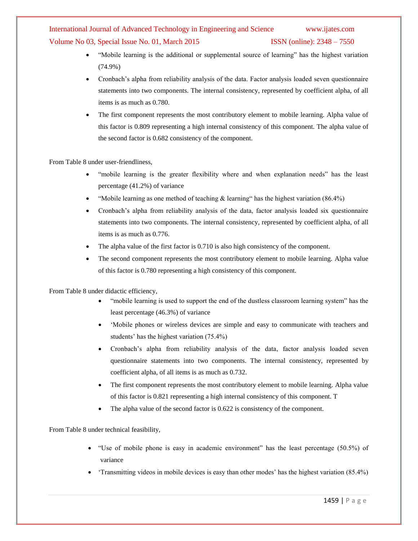Volume No 03, Special Issue No. 01, March 2015 **ISSN** (online): 2348 – 7550

- "Mobile learning is the additional or supplemental source of learning" has the highest variation (74.9%)
- Cronbach"s alpha from reliability analysis of the data. Factor analysis loaded seven questionnaire statements into two components. The internal consistency, represented by coefficient alpha, of all items is as much as 0.780.
- The first component represents the most contributory element to mobile learning. Alpha value of this factor is 0.809 representing a high internal consistency of this component. The alpha value of the second factor is 0.682 consistency of the component.

From Table 8 under user-friendliness,

- "mobile learning is the greater flexibility where and when explanation needs" has the least percentage (41.2%) of variance
- "Mobile learning as one method of teaching  $\&$  learning" has the highest variation (86.4%)
- Cronbach"s alpha from reliability analysis of the data, factor analysis loaded six questionnaire statements into two components. The internal consistency, represented by coefficient alpha, of all items is as much as 0.776.
- The alpha value of the first factor is 0.710 is also high consistency of the component.
- The second component represents the most contributory element to mobile learning. Alpha value of this factor is 0.780 representing a high consistency of this component.

From Table 8 under didactic efficiency,

- "mobile learning is used to support the end of the dustless classroom learning system" has the least percentage (46.3%) of variance
- 'Mobile phones or wireless devices are simple and easy to communicate with teachers and students' has the highest variation (75.4%)
- Cronbach"s alpha from reliability analysis of the data, factor analysis loaded seven questionnaire statements into two components. The internal consistency, represented by coefficient alpha, of all items is as much as 0.732.
- The first component represents the most contributory element to mobile learning. Alpha value of this factor is 0.821 representing a high internal consistency of this component. T
- The alpha value of the second factor is 0.622 is consistency of the component.

From Table 8 under technical feasibility,

- "Use of mobile phone is easy in academic environment" has the least percentage (50.5%) of variance
- "Transmitting videos in mobile devices is easy than other modes" has the highest variation (85.4%)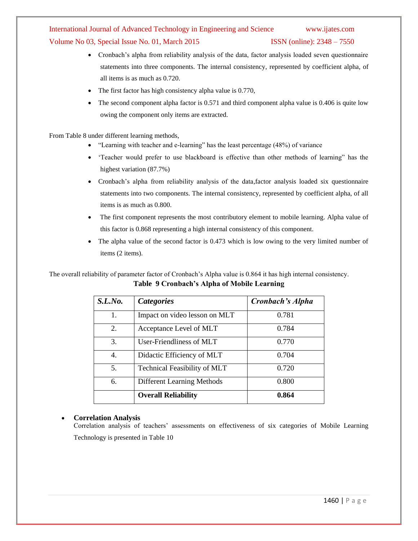Volume No 03, Special Issue No. 01, March 2015 **ISSN** (online): 2348 – 7550

- Cronbach's alpha from reliability analysis of the data, factor analysis loaded seven questionnaire statements into three components. The internal consistency, represented by coefficient alpha, of all items is as much as 0.720.
- The first factor has high consistency alpha value is 0.770,
- The second component alpha factor is 0.571 and third component alpha value is 0.406 is quite low owing the component only items are extracted.

From Table 8 under different learning methods,

- "Learning with teacher and e-learning" has the least percentage (48%) of variance
- "Teacher would prefer to use blackboard is effective than other methods of learning" has the highest variation (87.7%)
- Cronbach's alpha from reliability analysis of the data,factor analysis loaded six questionnaire statements into two components. The internal consistency, represented by coefficient alpha, of all items is as much as 0.800.
- The first component represents the most contributory element to mobile learning. Alpha value of this factor is 0.868 representing a high internal consistency of this component.
- The alpha value of the second factor is 0.473 which is low owing to the very limited number of items (2 items).

The overall reliability of parameter factor of Cronbach's Alpha value is 0.864 it has high internal consistency. **Table 9 Cronbach's Alpha of Mobile Learning**

| S.L.No. | <b>Categories</b>                   | Cronbach's Alpha |
|---------|-------------------------------------|------------------|
| 1.      | Impact on video lesson on MLT       | 0.781            |
| 2.      | Acceptance Level of MLT             | 0.784            |
| 3.      | User-Friendliness of MLT            | 0.770            |
| 4.      | Didactic Efficiency of MLT          | 0.704            |
| 5.      | <b>Technical Feasibility of MLT</b> | 0.720            |
| 6.      | <b>Different Learning Methods</b>   | 0.800            |
|         | <b>Overall Reliability</b>          | 0.864            |

### **Correlation Analysis**

Correlation analysis of teachers" assessments on effectiveness of six categories of Mobile Learning Technology is presented in Table 10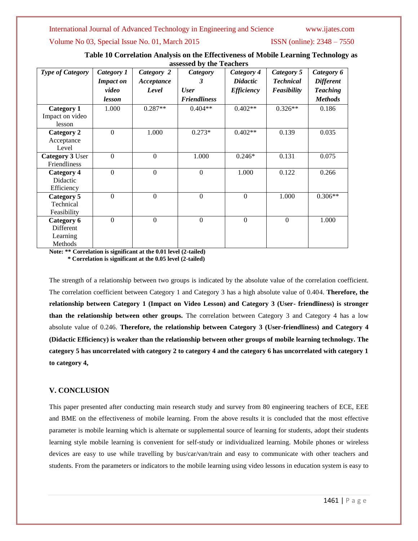Volume No 03, Special Issue No. 01, March 2015 ISSN (online): 2348 – 7550

| Table 10 Correlation Analysis on the Effectiveness of Mobile Learning Technology as |
|-------------------------------------------------------------------------------------|
| assessed by the Teachers                                                            |

| <b>Type of Category</b> | Category 1<br><b>Impact on</b> | Category 2<br>Acceptance | <b>Category</b><br>3 | Category 4<br><b>Didactic</b> | Category 5<br><b>Technical</b> | Category 6<br><b>Different</b> |
|-------------------------|--------------------------------|--------------------------|----------------------|-------------------------------|--------------------------------|--------------------------------|
|                         | video                          | Level                    | <b>User</b>          | <b>Efficiency</b>             | Feasibility                    | <b>Teaching</b>                |
|                         | lesson                         |                          | <b>Friendliness</b>  |                               |                                | <b>Methods</b>                 |
| <b>Category 1</b>       | 1.000                          | $0.287**$                | $0.404**$            | $0.402**$                     | $0.326**$                      | 0.186                          |
| Impact on video         |                                |                          |                      |                               |                                |                                |
| lesson                  |                                |                          |                      |                               |                                |                                |
| <b>Category 2</b>       | $\Omega$                       | 1.000                    | $0.273*$             | $0.402**$                     | 0.139                          | 0.035                          |
| Acceptance              |                                |                          |                      |                               |                                |                                |
| Level                   |                                |                          |                      |                               |                                |                                |
| Category 3 User         | $\mathbf{0}$                   | $\overline{0}$           | 1.000                | $0.246*$                      | 0.131                          | 0.075                          |
| Friendliness            |                                |                          |                      |                               |                                |                                |
| <b>Category 4</b>       | $\mathbf{0}$                   | $\mathbf{0}$             | $\mathbf{0}$         | 1.000                         | 0.122                          | 0.266                          |
| Didactic                |                                |                          |                      |                               |                                |                                |
| Efficiency              |                                |                          |                      |                               |                                |                                |
| Category 5              | $\mathbf{0}$                   | $\theta$                 | $\mathbf{0}$         | $\mathbf{0}$                  | 1.000                          | $0.306**$                      |
| Technical               |                                |                          |                      |                               |                                |                                |
| Feasibility             |                                |                          |                      |                               |                                |                                |
| Category 6              | $\mathbf{0}$                   | $\mathbf{0}$             | $\boldsymbol{0}$     | $\theta$                      | $\mathbf{0}$                   | 1.000                          |
| Different               |                                |                          |                      |                               |                                |                                |
| Learning                |                                |                          |                      |                               |                                |                                |
| Methods                 |                                |                          |                      |                               |                                |                                |

**Note: \*\* Correlation is significant at the 0.01 level (2-tailed) \* Correlation is significant at the 0.05 level (2-tailed)**

The strength of a relationship between two groups is indicated by the absolute value of the correlation coefficient. The correlation coefficient between Category 1 and Category 3 has a high absolute value of 0.404. **Therefore, the relationship between Category 1 (Impact on Video Lesson) and Category 3 (User- friendliness) is stronger than the relationship between other groups.** The correlation between Category 3 and Category 4 has a low absolute value of 0.246. **Therefore, the relationship between Category 3 (User-friendliness) and Category 4 (Didactic Efficiency) is weaker than the relationship between other groups of mobile learning technology. The category 5 has uncorrelated with category 2 to category 4 and the category 6 has uncorrelated with category 1 to category 4,** 

### **V. CONCLUSION**

This paper presented after conducting main research study and survey from 80 engineering teachers of ECE, EEE and BME on the effectiveness of mobile learning. From the above results it is concluded that the most effective parameter is mobile learning which is alternate or supplemental source of learning for students, adopt their students learning style mobile learning is convenient for self-study or individualized learning. Mobile phones or wireless devices are easy to use while travelling by bus/car/van/train and easy to communicate with other teachers and students. From the parameters or indicators to the mobile learning using video lessons in education system is easy to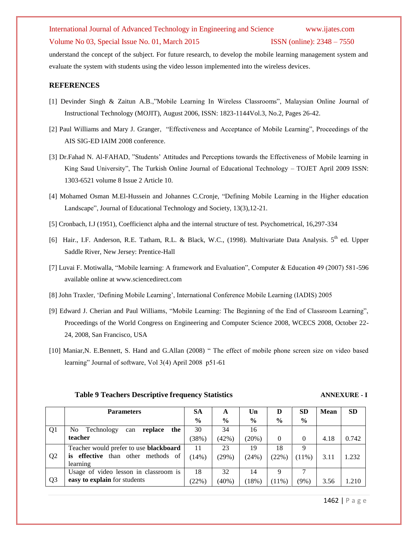### Volume No 03, Special Issue No. 01, March 2015 **ISSN** (online): 2348 – 7550

understand the concept of the subject. For future research, to develop the mobile learning management system and evaluate the system with students using the video lesson implemented into the wireless devices.

### **REFERENCES**

- [1] Devinder Singh & Zaitun A.B.,"Mobile Learning In Wireless Classrooms", Malaysian Online Journal of Instructional Technology (MOJIT), August 2006, ISSN: 1823-1144Vol.3, No.2, Pages 26-42.
- [2] Paul Williams and Mary J. Granger, "Effectiveness and Acceptance of Mobile Learning", Proceedings of the AIS SIG-ED IAIM 2008 conference.
- [3] Dr.Fahad N. Al-FAHAD, "Students" Attitudes and Perceptions towards the Effectiveness of Mobile learning in King Saud University", The Turkish Online Journal of Educational Technology – TOJET April 2009 ISSN: 1303-6521 volume 8 Issue 2 Article 10.
- [4] Mohamed Osman M.El-Hussein and Johannes C.Cronje, "Defining Mobile Learning in the Higher education Landscape", Journal of Educational Technology and Society, 13(3),12-21.
- [5] Cronbach, I.J (1951), Coefficienct alpha and the internal structure of test. Psychometrical, 16,297-334
- [6] Hair., I.F. Anderson, R.E. Tatham, R.L. & Black, W.C., (1998). Multivariate Data Analysis. 5<sup>th</sup> ed. Upper Saddle River, New Jersey: Prentice-Hall
- [7] Luvai F. Motiwalla, "Mobile learning: A framework and Evaluation", Computer & Education 49 (2007) 581-596 available online at [www.sciencedirect.com](http://www.sciencedirect.com/)
- [8] John Traxler, "Defining Mobile Learning", International Conference Mobile Learning (IADIS) 2005
- [9] Edward J. Cherian and Paul Williams, "Mobile Learning: The Beginning of the End of Classroom Learning", Proceedings of the World Congress on Engineering and Computer Science 2008, WCECS 2008, October 22- 24, 2008, San Francisco, USA
- [10] Maniar,N. E.Bennett, S. Hand and G.Allan (2008) " The effect of mobile phone screen size on video based learning" Journal of software, Vol 3(4) April 2008 p51-61

### **Table 9 Teachers Descriptive frequency Statistics ANNEXURE - I**

|                | <b>Parameters</b>                             | <b>SA</b>     | A             | Un            | D             | SD            | <b>Mean</b> | <b>SD</b> |
|----------------|-----------------------------------------------|---------------|---------------|---------------|---------------|---------------|-------------|-----------|
|                |                                               | $\frac{6}{6}$ | $\frac{6}{9}$ | $\frac{6}{9}$ | $\frac{6}{6}$ | $\frac{0}{0}$ |             |           |
| Q <sub>1</sub> | Technology<br>the<br>No.<br>replace<br>can    | 30            | 34            | 16            |               |               |             |           |
|                | teacher                                       |               | (42%)         | (20%)         | $\Omega$      | $\Omega$      | 4.18        | 0.742     |
|                | Teacher would prefer to use <b>blackboard</b> | 11            | 23            | 19            | 18            | Q             |             |           |
| Q <sub>2</sub> | than other methods of<br>is effective         | (14%)         | (29%)         | (24%)         | (22%)         | $(11\%)$      | 3.11        | .232      |
|                | learning                                      |               |               |               |               |               |             |           |
|                | Usage of video lesson in classroom is         | 18            | 32            | 14            | Q             |               |             |           |
| Q <sub>3</sub> | easy to explain for students                  | (22%)         | $(40\%)$      | (18%)         | $(11\%)$      | $(9\%)$       | 3.56        | 1.210     |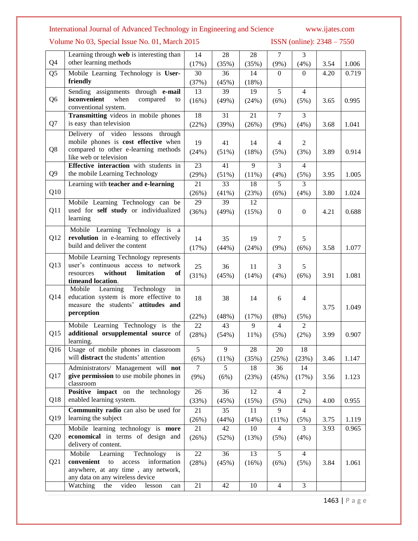Volume No 03, Special Issue No. 01, March 2015 ISSN (online): 2348 - 7550

|                 | Learning through web is interesting than                                        | 14              | 28              | 28         | $\overline{7}$         | $\overline{3}$         |      |       |
|-----------------|---------------------------------------------------------------------------------|-----------------|-----------------|------------|------------------------|------------------------|------|-------|
| Q4              | other learning methods                                                          | (17%)           | (35%)           | (35%)      | $(9\%)$                | (4%)                   | 3.54 | 1.006 |
| Q <sub>5</sub>  | Mobile Learning Technology is User-                                             | 30              | 36              | 14         | $\theta$               | $\overline{0}$         | 4.20 | 0.719 |
|                 | friendly                                                                        | (37%)           | (45%)           | (18%)      |                        |                        |      |       |
|                 | Sending assignments through e-mail                                              | 13              | 39              | 19         | 5                      | $\overline{4}$         |      |       |
| Q <sub>6</sub>  | isconvenient<br>when<br>compared<br>to<br>conventional system.                  | (16%)           | (49%)           | (24%)      | (6%)                   | (5%)                   | 3.65 | 0.995 |
|                 | Transmitting videos in mobile phones                                            | 18              | 31              | 21         | $\overline{7}$         | 3                      |      |       |
| Q7              | is easy than television                                                         | (22%)           | (39%)           | (26%)      | $(9\%)$                | (4%)                   | 3.68 | 1.041 |
|                 | Delivery of video lessons through                                               |                 |                 |            |                        |                        |      |       |
|                 | mobile phones is cost effective when                                            | 19              | 41              | 14         | $\overline{4}$         | $\overline{2}$         |      |       |
| Q8              | compared to other e-learning methods<br>like web or television                  | (24%)           | (51%)           | (18%)      | (5%)                   | (3%)                   | 3.89 | 0.914 |
|                 | <b>Effective</b> interaction with students in                                   | 23              | 41              | 9          | 3                      | $\overline{4}$         |      |       |
| Q <sub>9</sub>  | the mobile Learning Technology                                                  | (29%)           | (51%)           | (11%)      | (4%)                   | (5%)                   | 3.95 | 1.005 |
|                 | Learning with teacher and e-learning                                            | 21              | 33              | 18         | 5                      | $\overline{3}$         |      |       |
| Q10             |                                                                                 | (26%)           | $(41\%)$        | (23%)      | (6%)                   | (4%)                   | 3.80 | 1.024 |
|                 | Mobile Learning Technology can be                                               | $\overline{29}$ | $\overline{39}$ | 12         |                        |                        |      |       |
| Q11             | used for self study or individualized<br>learning                               | (36%)           | (49%)           | (15%)      | $\boldsymbol{0}$       | $\mathbf{0}$           | 4.21 | 0.688 |
|                 | Mobile Learning Technology is a                                                 |                 |                 |            |                        |                        |      |       |
| Q12             | revolution in e-learning to effectively                                         | 14              | 35              | 19         | $\tau$                 | 5                      |      |       |
|                 | build and deliver the content                                                   | (17%)           | (44%)           | (24%)      | $(9\%)$                | (6%)                   | 3.58 | 1.077 |
|                 | Mobile Learning Technology represents                                           |                 |                 |            |                        |                        |      |       |
| Q13             | user's continuous access to network                                             | 25              | 36              | 11         | 3                      | 5                      |      |       |
|                 | resources<br>without<br>limitation<br>of                                        | (31%)           | (45%)           | (14%)      | (4%)                   | (6%)                   | 3.91 | 1.081 |
|                 | timeand location.                                                               |                 |                 |            |                        |                        |      |       |
| Q14             | Technology<br>Learning<br>Mobile<br>in<br>education system is more effective to |                 |                 |            |                        |                        |      |       |
|                 | measure the students' attitudes and                                             | 18              | 38              | 14         | 6                      | $\overline{4}$         |      |       |
|                 | perception                                                                      |                 |                 |            |                        |                        | 3.75 | 1.049 |
|                 | Mobile Learning Technology is the                                               | (22%)<br>22     | (48%)<br>43     | (17%)<br>9 | (8%)<br>$\overline{4}$ | (5%)<br>$\overline{2}$ |      |       |
| Q15             | additional orsupplemental source of                                             | (28%)           | (54%)           | $11\%$ )   | (5%)                   | $(2\%)$                | 3.99 | 0.907 |
|                 | learning.                                                                       |                 |                 |            |                        |                        |      |       |
| Q <sub>16</sub> | Usage of mobile phones in classroom                                             | $\overline{5}$  | 9               | 28         | $20\,$                 | 18                     |      |       |
|                 | will <b>distract</b> the students' attention                                    | (6%)            | (11%)           | (35%)      | (25%)                  | (23%)                  | 3.46 | 1.147 |
|                 | Administrators/ Management will not                                             | $\tau$          | 5               | 18         | 36                     | 14                     |      |       |
| Q17             | give permission to use mobile phones in<br>classroom                            | $(9\%)$         | (6%)            | (23%)      | (45%)                  | (17%)                  | 3.56 | 1.123 |
|                 | Positive impact on the technology                                               | 26              | 36              | 12         | $\overline{4}$         | 2                      |      |       |
| Q18             | enabled learning system.                                                        | (33%)           | (45%)           | (15%)      | (5%)                   | (2%)                   | 4.00 | 0.955 |
|                 | Community radio can also be used for                                            | 21              | 35              | 11         | 9                      | $\overline{4}$         |      |       |
| Q19             | learning the subject                                                            | (26%)           | (44%)           | (14%)      | (11%)                  | (5%)                   | 3.75 | 1.119 |
|                 | Mobile learning technology is more                                              | 21              | 42              | 10         | $\overline{4}$         | 3                      | 3.93 | 0.965 |
| Q20             | economical in terms of design and<br>delivery of content.                       | (26%)           | (52%)           | (13%)      | (5%)                   | $(4\%)$                |      |       |
|                 | Mobile<br>Learning<br>is                                                        | 22              | 36              | 13         | 5                      |                        |      |       |
| Q21             | Technology<br>convenient<br>to<br>access<br>information                         | (28%)           | (45%)           | (16%)      | (6%)                   | $\overline{4}$<br>(5%) | 3.84 | 1.061 |
|                 | anywhere, at any time, any network,                                             |                 |                 |            |                        |                        |      |       |
|                 | any data on any wireless device                                                 |                 |                 |            |                        |                        |      |       |
|                 | Watching<br>video<br>the<br>lesson<br>can                                       | 21              | 42              | 10         | $\overline{4}$         | 3                      |      |       |

1463 | P a g e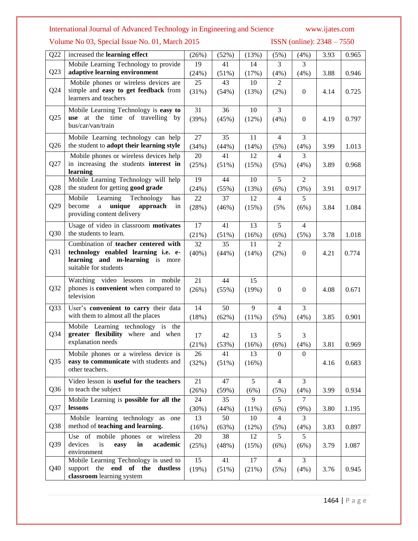Volume No 03, Special Issue No. 01, March 2015 ISSN (online): 2348 - 7550

| Q22             | increased the learning effect                                             | (26%)       | (52%)       | (13%)       | (5%)             | (4%)             | 3.93 | 0.965 |
|-----------------|---------------------------------------------------------------------------|-------------|-------------|-------------|------------------|------------------|------|-------|
|                 | Mobile Learning Technology to provide                                     | 19          | 41          | 14          | 3                | 3                |      |       |
| Q23             | adaptive learning environment                                             | (24%)       | (51%)       | (17%)       | (4%)             | (4%)             | 3.88 | 0.946 |
|                 | Mobile phones or wireless devices are                                     | 25          | 43          | 10          | $\overline{2}$   |                  |      |       |
| Q24             | simple and easy to get feedback from<br>learners and teachers             | (31%)       | (54%)       | (13%)       | (2%)             | $\boldsymbol{0}$ | 4.14 | 0.725 |
|                 |                                                                           |             |             |             |                  |                  |      |       |
| Q25             | Mobile Learning Technology is easy to<br>use at the time of travelling by | 31<br>(39%) | 36<br>(45%) | 10<br>(12%) | 3<br>(4%)        | $\boldsymbol{0}$ | 4.19 | 0.797 |
|                 | bus/car/van/train                                                         |             |             |             |                  |                  |      |       |
|                 | Mobile Learning technology can help                                       | 27          | 35          | 11          | $\overline{4}$   | 3                |      |       |
| Q26             | the student to adopt their learning style                                 | (34%)       | (44%)       | (14%)       | (5%)             | (4%)             | 3.99 | 1.013 |
|                 | Mobile phones or wireless devices help                                    | 20          | 41          | 12          | $\overline{4}$   | 3                |      |       |
| Q27             | in increasing the students interest in                                    | (25%)       | (51%)       | (15%)       | (5%)             | (4%)             | 3.89 | 0.968 |
|                 | learning<br>Mobile Learning Technology will help                          | 19          | 44          | 10          | 5                | $\mathbf{2}$     |      |       |
| Q28             | the student for getting good grade                                        | (24%)       | (55%)       | (13%)       | (6%)             | (3%)             | 3.91 | 0.917 |
|                 | Mobile<br>Technology<br>Learning<br>has                                   | 22          | 37          | 12          | $\overline{4}$   | 5                |      |       |
| Q29             | become<br>unique<br>a<br>approach<br>in                                   | (28%)       | (46%)       | (15%)       | (5%              | (6%)             | 3.84 | 1.084 |
|                 | providing content delivery                                                |             |             |             |                  |                  |      |       |
|                 | Usage of video in classroom motivates                                     | 17          | 41          | 13          | 5                | $\overline{4}$   |      |       |
| Q30             | the students to learn.                                                    | (21%)       | (51%)       | (16%)       | (6%)             | (5%)             | 3.78 | 1.018 |
|                 | Combination of teacher centered with                                      | 32          | 35          | 11          | $\overline{2}$   |                  |      |       |
| Q31             | technology enabled learning i.e. e-<br>learning and m-learning is more    | $(40\%)$    | (44%)       | (14%)       | (2%)             | $\boldsymbol{0}$ | 4.21 | 0.774 |
|                 | suitable for students                                                     |             |             |             |                  |                  |      |       |
|                 | Watching video lessons in mobile                                          | 21          | 44          | 15          |                  |                  |      |       |
| Q32             | phones is convenient when compared to                                     | (26%)       | (55%)       | (19%)       | $\boldsymbol{0}$ | $\boldsymbol{0}$ | 4.08 | 0.671 |
|                 | television                                                                |             |             |             |                  |                  |      |       |
| Q33             | User's convenient to carry their data                                     | 14          | 50          | 9           | $\overline{4}$   | 3                |      |       |
|                 | with them to almost all the places                                        | (18%)       | (62%)       | $(11\%)$    | (5%)             | (4%)             | 3.85 | 0.901 |
|                 | Mobile Learning technology is the                                         |             |             |             |                  |                  |      |       |
| Q34             | greater flexibility where and when                                        | 17          | 42          | 13          | 5                | 3                |      |       |
|                 | explanation needs                                                         | (21%)       | (53%)       | (16%)       | (6%)             | (4%)             | 3.81 | 0.969 |
|                 | Mobile phones or a wireless device is                                     | 26          | 41          | 13          | $\boldsymbol{0}$ | $\boldsymbol{0}$ |      |       |
| Q <sub>35</sub> | easy to communicate with students and<br>other teachers.                  | (32%)       | $(51\%)$    | (16%)       |                  |                  | 4.16 | 0.683 |
|                 | Video lesson is useful for the teachers                                   | 21          | 47          | 5           | $\overline{4}$   | 3                |      |       |
| Q <sub>36</sub> | to teach the subject                                                      | (26%)       | (59%)       | (6%)        | (5%)             | (4%)             | 3.99 | 0.934 |
|                 | Mobile Learning is possible for all the                                   | 24          | 35          | 9           | 5                | $\tau$           |      |       |
| Q37             | lessons                                                                   | (30%)       | (44%)       | (11%)       | (6%)             | (9%)             | 3.80 | 1.195 |
|                 | Mobile learning technology as<br>one                                      | 13          | 50          | 10          | 4                | 3                |      |       |
| Q <sub>38</sub> | method of teaching and learning.                                          | (16%)       | (63%)       | (12%)       | (5%)             | (4%)             | 3.83 | 0.897 |
|                 | Use of mobile phones or wireless                                          | 20          | 38          | 12          | 5                | 5                |      |       |
| Q39             | devices<br>is<br>easy<br>in<br>academic<br>environment                    | (25%)       | (48%)       | (15%)       | (6%)             | (6%)             | 3.79 | 1.087 |
|                 | Mobile Learning Technology is used to                                     | 15          | 41          | 17          | $\overline{4}$   | 3                |      |       |
| Q40             | support the end of the dustless                                           | (19%)       | (51%)       | (21%)       | (5%)             | (4%)             | 3.76 | 0.945 |
|                 | classroom learning system                                                 |             |             |             |                  |                  |      |       |